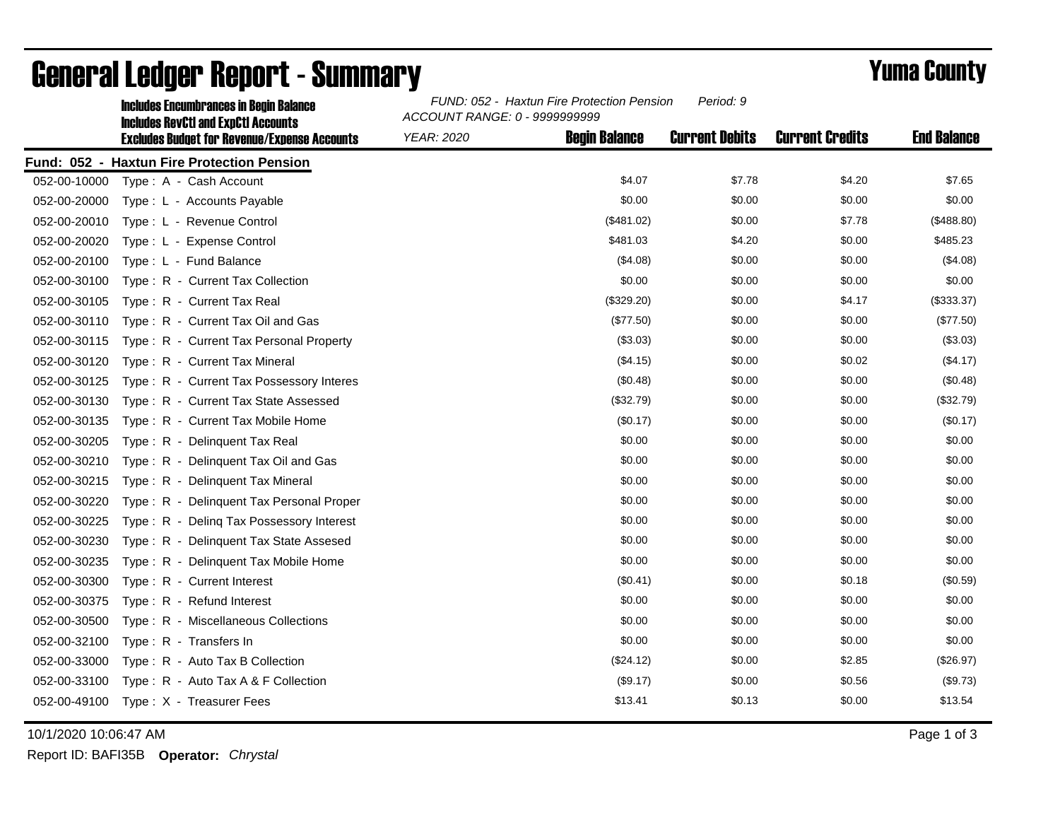|              | <b>Includes Encumbrances in Begin Balance</b><br><b>Includes RevCtI and ExpCtI Accounts</b> | FUND: 052 - Haxtun Fire Protection Pension<br>Period: 9<br>ACCOUNT RANGE: 0 - 9999999999 |                      |                       |                        |                    |
|--------------|---------------------------------------------------------------------------------------------|------------------------------------------------------------------------------------------|----------------------|-----------------------|------------------------|--------------------|
|              | <b>Excludes Budget for Revenue/Expense Accounts</b>                                         | <b>YEAR: 2020</b>                                                                        | <b>Begin Balance</b> | <b>Current Debits</b> | <b>Current Credits</b> | <b>End Balance</b> |
|              | Fund: 052 - Haxtun Fire Protection Pension                                                  |                                                                                          |                      |                       |                        |                    |
| 052-00-10000 | Type: A - Cash Account                                                                      |                                                                                          | \$4.07               | \$7.78                | \$4.20                 | \$7.65             |
| 052-00-20000 | Type: L - Accounts Payable                                                                  |                                                                                          | \$0.00               | \$0.00                | \$0.00                 | \$0.00             |
| 052-00-20010 | Type: L - Revenue Control                                                                   |                                                                                          | (\$481.02)           | \$0.00                | \$7.78                 | (\$488.80)         |
| 052-00-20020 | Type: L - Expense Control                                                                   |                                                                                          | \$481.03             | \$4.20                | \$0.00                 | \$485.23           |
| 052-00-20100 | Type: L - Fund Balance                                                                      |                                                                                          | (\$4.08)             | \$0.00                | \$0.00                 | (\$4.08)           |
| 052-00-30100 | Type: R - Current Tax Collection                                                            |                                                                                          | \$0.00               | \$0.00                | \$0.00                 | \$0.00             |
| 052-00-30105 | Type: R - Current Tax Real                                                                  |                                                                                          | (\$329.20)           | \$0.00                | \$4.17                 | (\$333.37)         |
| 052-00-30110 | Type: R - Current Tax Oil and Gas                                                           |                                                                                          | (\$77.50)            | \$0.00                | \$0.00                 | (\$77.50)          |
| 052-00-30115 | Type: R - Current Tax Personal Property                                                     |                                                                                          | (\$3.03)             | \$0.00                | \$0.00                 | (\$3.03)           |
| 052-00-30120 | Type: R - Current Tax Mineral                                                               |                                                                                          | (\$4.15)             | \$0.00                | \$0.02                 | (\$4.17)           |
| 052-00-30125 | Type: R - Current Tax Possessory Interes                                                    |                                                                                          | (\$0.48)             | \$0.00                | \$0.00                 | (\$0.48)           |
| 052-00-30130 | Type: R - Current Tax State Assessed                                                        |                                                                                          | (\$32.79)            | \$0.00                | \$0.00                 | (\$32.79)          |
| 052-00-30135 | Type: R - Current Tax Mobile Home                                                           |                                                                                          | (\$0.17)             | \$0.00                | \$0.00                 | (\$0.17)           |
| 052-00-30205 | Type: R - Delinquent Tax Real                                                               |                                                                                          | \$0.00               | \$0.00                | \$0.00                 | \$0.00             |
| 052-00-30210 | Type: R - Delinquent Tax Oil and Gas                                                        |                                                                                          | \$0.00               | \$0.00                | \$0.00                 | \$0.00             |
| 052-00-30215 | Type: R - Delinguent Tax Mineral                                                            |                                                                                          | \$0.00               | \$0.00                | \$0.00                 | \$0.00             |
| 052-00-30220 | Type: R - Delinquent Tax Personal Proper                                                    |                                                                                          | \$0.00               | \$0.00                | \$0.00                 | \$0.00             |
| 052-00-30225 | Type: R - Deling Tax Possessory Interest                                                    |                                                                                          | \$0.00               | \$0.00                | \$0.00                 | \$0.00             |
| 052-00-30230 | Type: R - Delinquent Tax State Assesed                                                      |                                                                                          | \$0.00               | \$0.00                | \$0.00                 | \$0.00             |
| 052-00-30235 | Type: R - Delinquent Tax Mobile Home                                                        |                                                                                          | \$0.00               | \$0.00                | \$0.00                 | \$0.00             |
| 052-00-30300 | Type: R - Current Interest                                                                  |                                                                                          | (\$0.41)             | \$0.00                | \$0.18                 | (\$0.59)           |
| 052-00-30375 | $Type: R - Refund Interest$                                                                 |                                                                                          | \$0.00               | \$0.00                | \$0.00                 | \$0.00             |
| 052-00-30500 | Type: R - Miscellaneous Collections                                                         |                                                                                          | \$0.00               | \$0.00                | \$0.00                 | \$0.00             |
| 052-00-32100 | Type: R - Transfers In                                                                      |                                                                                          | \$0.00               | \$0.00                | \$0.00                 | \$0.00             |
| 052-00-33000 | Type: R - Auto Tax B Collection                                                             |                                                                                          | (\$24.12)            | \$0.00                | \$2.85                 | (\$26.97)          |
| 052-00-33100 | Type: R - Auto Tax A & F Collection                                                         |                                                                                          | (\$9.17)             | \$0.00                | \$0.56                 | (\$9.73)           |
|              | 052-00-49100 Type: X - Treasurer Fees                                                       |                                                                                          | \$13.41              | \$0.13                | \$0.00                 | \$13.54            |

## General Ledger Report - Summary **Example 2018** Yuma County

10/1/2020 10:06:47 AM Page 1 of 3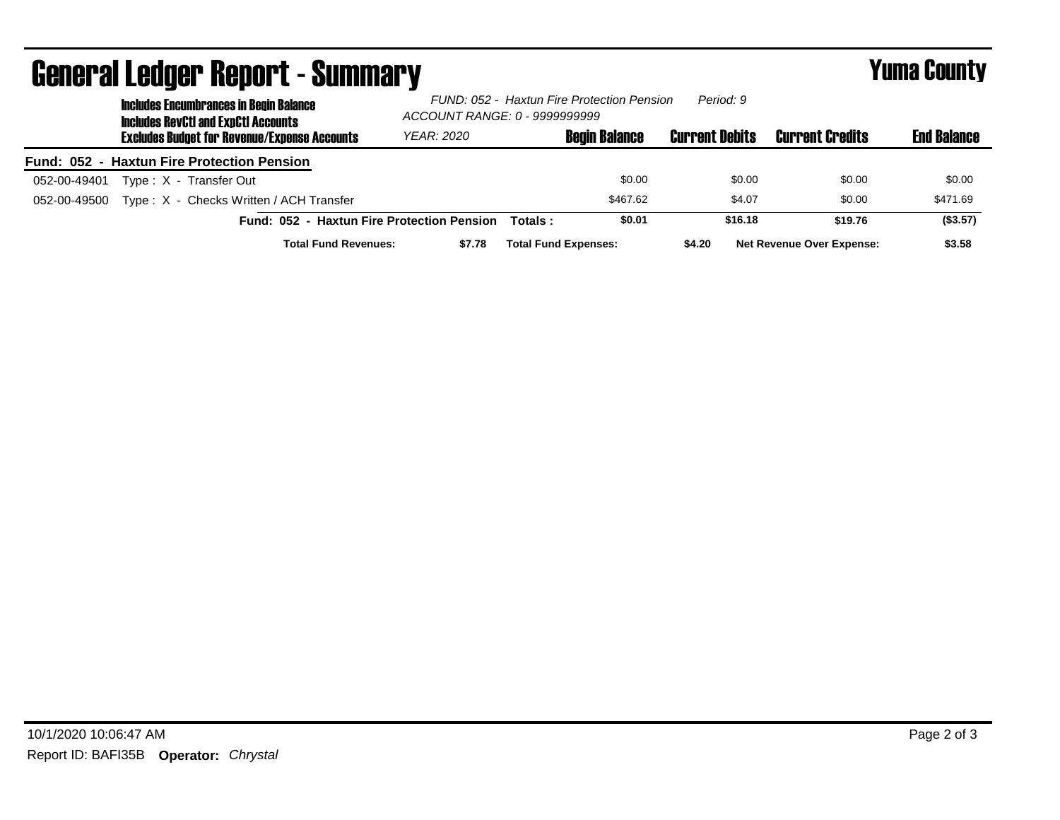| <b>UCHOL AI LOUYOL HOPUL LA DUMMIAI J</b><br><b>Includes Encumbrances in Begin Balance</b><br><b>Includes RevCtI and ExpCtI Accounts</b> | ACCOUNT RANGE: 0 - 9999999999 |                             | FUND: 052 - Haxtun Fire Protection Pension | Period: 9             |                                  | .                  |
|------------------------------------------------------------------------------------------------------------------------------------------|-------------------------------|-----------------------------|--------------------------------------------|-----------------------|----------------------------------|--------------------|
| <b>Excludes Budget for Revenue/Expense Accounts</b>                                                                                      | YEAR: 2020                    |                             | <b>Begin Balance</b>                       | <b>Current Debits</b> | <b>Current Credits</b>           | <b>End Balance</b> |
| <b>Fund: 052 - Haxtun Fire Protection Pension</b>                                                                                        |                               |                             |                                            |                       |                                  |                    |
| Type: X - Transfer Out<br>052-00-49401                                                                                                   |                               |                             | \$0.00                                     | \$0.00                | \$0.00                           | \$0.00             |
| Type: X - Checks Written / ACH Transfer<br>052-00-49500                                                                                  |                               |                             | \$467.62                                   | \$4.07                | \$0.00                           | \$471.69           |
| Fund: 052 - Haxtun Fire Protection Pension                                                                                               |                               | Totals:                     | \$0.01                                     | \$16.18               | \$19.76                          | (\$3.57)           |
| <b>Total Fund Revenues:</b>                                                                                                              | \$7.78                        | <b>Total Fund Expenses:</b> |                                            | \$4.20                | <b>Net Revenue Over Expense:</b> | \$3.58             |

## General Ledger Report - Summary Yuma County